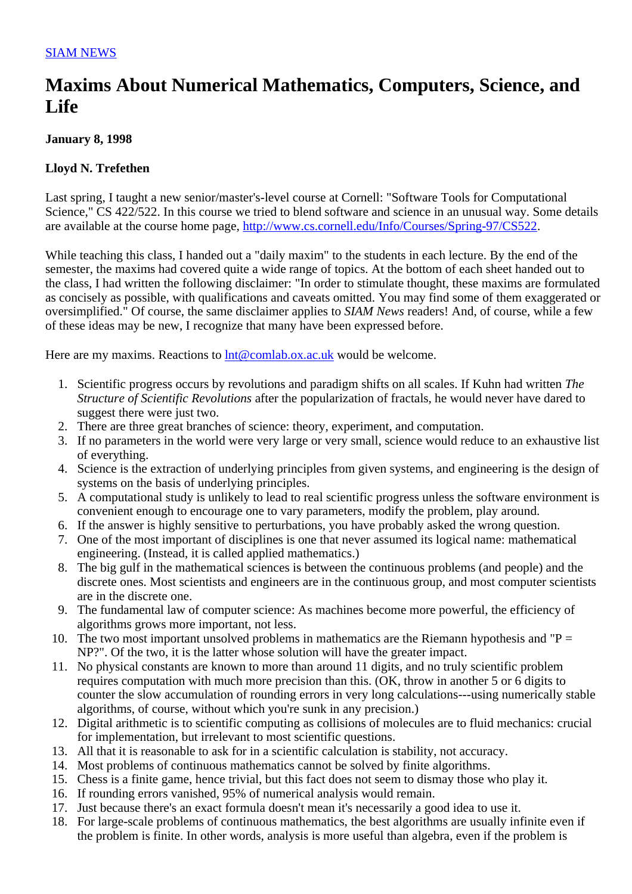## **Maxims About Numerical Mathematics, Computers, Science, and Life**

## **January 8, 1998**

## **Lloyd N. Trefethen**

Last spring, I taught a new senior/master's-level course at Cornell: "Software Tools for Computational Science," CS 422/522. In this course we tried to blend software and science in an unusual way. Some details are available at the course home page, http://www.cs.cornell.edu/Info/Courses/Spring-97/CS522.

While teaching this class, I handed out a "daily maxim" to the students in each lecture. By the end of the semester, the maxims had covered quite a wide range of topics. At the bottom of each sheet handed out to the class, I had written the following disclaimer: "In order to stimulate thought, these maxims are formulated as concisely as possible, with qualifications and caveats omitted. You may find some of them exaggerated or oversimplified." Of course, the same disclaimer applies to *SIAM News* readers! And, of course, while a few of these ideas may be new, I recognize that many have been expressed before.

Here are my maxims. Reactions to  $Int@comlab.ox.ac.uk$  would be welcome.

- 1. Scientific progress occurs by revolutions and paradigm shifts on all scales. If Kuhn had written *The Structure of Scientific Revolutions* after the popularization of fractals, he would never have dared to suggest there were just two.
- 2. There are three great branches of science: theory, experiment, and computation.
- 3. If no parameters in the world were very large or very small, science would reduce to an exhaustive list of everything.
- 4. Science is the extraction of underlying principles from given systems, and engineering is the design of systems on the basis of underlying principles.
- 5. A computational study is unlikely to lead to real scientific progress unless the software environment is convenient enough to encourage one to vary parameters, modify the problem, play around.
- 6. If the answer is highly sensitive to perturbations, you have probably asked the wrong question.
- 7. One of the most important of disciplines is one that never assumed its logical name: mathematical engineering. (Instead, it is called applied mathematics.)
- 8. The big gulf in the mathematical sciences is between the continuous problems (and people) and the discrete ones. Most scientists and engineers are in the continuous group, and most computer scientists are in the discrete one.
- 9. The fundamental law of computer science: As machines become more powerful, the efficiency of algorithms grows more important, not less.
- 10. The two most important unsolved problems in mathematics are the Riemann hypothesis and "P = NP?". Of the two, it is the latter whose solution will have the greater impact.
- 11. No physical constants are known to more than around 11 digits, and no truly scientific problem requires computation with much more precision than this. (OK, throw in another 5 or 6 digits to counter the slow accumulation of rounding errors in very long calculations---using numerically stable algorithms, of course, without which you're sunk in any precision.)
- 12. Digital arithmetic is to scientific computing as collisions of molecules are to fluid mechanics: crucial for implementation, but irrelevant to most scientific questions.
- 13. All that it is reasonable to ask for in a scientific calculation is stability, not accuracy.
- 14. Most problems of continuous mathematics cannot be solved by finite algorithms.
- 15. Chess is a finite game, hence trivial, but this fact does not seem to dismay those who play it.
- 16. If rounding errors vanished, 95% of numerical analysis would remain.
- 17. Just because there's an exact formula doesn't mean it's necessarily a good idea to use it.
- 18. For large-scale problems of continuous mathematics, the best algorithms are usually infinite even if the problem is finite. In other words, analysis is more useful than algebra, even if the problem is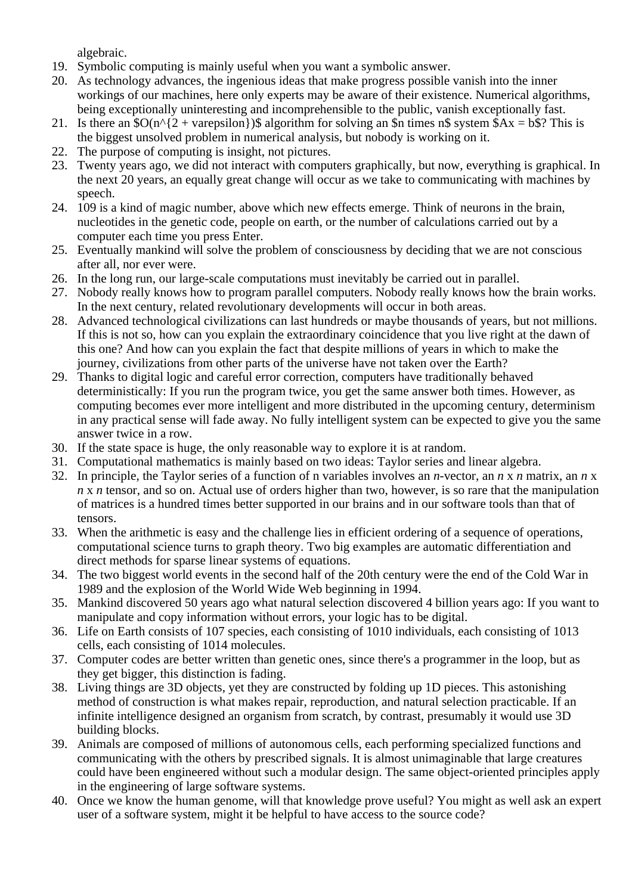algebraic.

- 19. Symbolic computing is mainly useful when you want a symbolic answer.
- 20. As technology advances, the ingenious ideas that make progress possible vanish into the inner workings of our machines, here only experts may be aware of their existence. Numerical algorithms, being exceptionally uninteresting and incomprehensible to the public, vanish exceptionally fast.
- 21. Is there an  $SO(n^{2} + \text{varepsilon}))\$  algorithm for solving an  $\sin$  times n\$ system  $\overline{S}Ax = b\overline{S}$ ? This is the biggest unsolved problem in numerical analysis, but nobody is working on it.
- 22. The purpose of computing is insight, not pictures.
- 23. Twenty years ago, we did not interact with computers graphically, but now, everything is graphical. In the next 20 years, an equally great change will occur as we take to communicating with machines by speech.
- 24. 109 is a kind of magic number, above which new effects emerge. Think of neurons in the brain, nucleotides in the genetic code, people on earth, or the number of calculations carried out by a computer each time you press Enter.
- 25. Eventually mankind will solve the problem of consciousness by deciding that we are not conscious after all, nor ever were.
- 26. In the long run, our large-scale computations must inevitably be carried out in parallel.
- 27. Nobody really knows how to program parallel computers. Nobody really knows how the brain works. In the next century, related revolutionary developments will occur in both areas.
- 28. Advanced technological civilizations can last hundreds or maybe thousands of years, but not millions. If this is not so, how can you explain the extraordinary coincidence that you live right at the dawn of this one? And how can you explain the fact that despite millions of years in which to make the journey, civilizations from other parts of the universe have not taken over the Earth?
- 29. Thanks to digital logic and careful error correction, computers have traditionally behaved deterministically: If you run the program twice, you get the same answer both times. However, as computing becomes ever more intelligent and more distributed in the upcoming century, determinism in any practical sense will fade away. No fully intelligent system can be expected to give you the same answer twice in a row.
- 30. If the state space is huge, the only reasonable way to explore it is at random.
- 31. Computational mathematics is mainly based on two ideas: Taylor series and linear algebra.
- 32. In principle, the Taylor series of a function of n variables involves an *n*-vector, an *n* x *n* matrix, an *n* x *n* x *n* tensor, and so on. Actual use of orders higher than two, however, is so rare that the manipulation of matrices is a hundred times better supported in our brains and in our software tools than that of tensors.
- 33. When the arithmetic is easy and the challenge lies in efficient ordering of a sequence of operations, computational science turns to graph theory. Two big examples are automatic differentiation and direct methods for sparse linear systems of equations.
- 34. The two biggest world events in the second half of the 20th century were the end of the Cold War in 1989 and the explosion of the World Wide Web beginning in 1994.
- 35. Mankind discovered 50 years ago what natural selection discovered 4 billion years ago: If you want to manipulate and copy information without errors, your logic has to be digital.
- 36. Life on Earth consists of 107 species, each consisting of 1010 individuals, each consisting of 1013 cells, each consisting of 1014 molecules.
- 37. Computer codes are better written than genetic ones, since there's a programmer in the loop, but as they get bigger, this distinction is fading.
- 38. Living things are 3D objects, yet they are constructed by folding up 1D pieces. This astonishing method of construction is what makes repair, reproduction, and natural selection practicable. If an infinite intelligence designed an organism from scratch, by contrast, presumably it would use 3D building blocks.
- 39. Animals are composed of millions of autonomous cells, each performing specialized functions and communicating with the others by prescribed signals. It is almost unimaginable that large creatures could have been engineered without such a modular design. The same object-oriented principles apply in the engineering of large software systems.
- 40. Once we know the human genome, will that knowledge prove useful? You might as well ask an expert user of a software system, might it be helpful to have access to the source code?